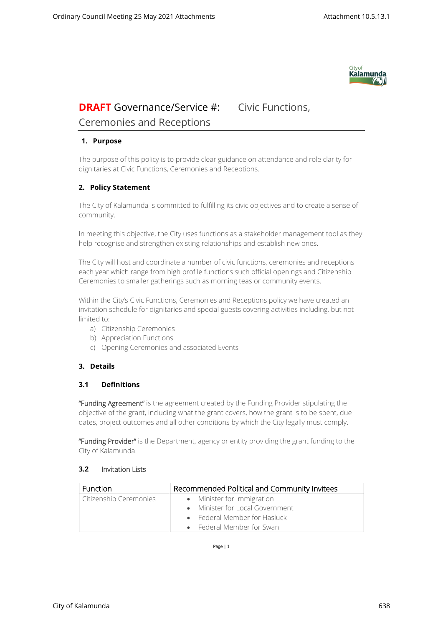

# **DRAFT** Governance/Service #: Civic Functions, Ceremonies and Receptions

### **1. Purpose**

The purpose of this policy is to provide clear guidance on attendance and role clarity for dignitaries at Civic Functions, Ceremonies and Receptions.

## **2. Policy Statement**

The City of Kalamunda is committed to fulfilling its civic objectives and to create a sense of community.

In meeting this objective, the City uses functions as a stakeholder management tool as they help recognise and strengthen existing relationships and establish new ones.

The City will host and coordinate a number of civic functions, ceremonies and receptions each year which range from high profile functions such official openings and Citizenship Ceremonies to smaller gatherings such as morning teas or community events.

Within the City's Civic Functions, Ceremonies and Receptions policy we have created an invitation schedule for dignitaries and special guests covering activities including, but not limited to:

- a) Citizenship Ceremonies
- b) Appreciation Functions
- c) Opening Ceremonies and associated Events

#### **3. Details**

#### **3.1 Definitions**

**"Funding Agreement"** is the agreement created by the Funding Provider stipulating the objective of the grant, including what the grant covers, how the grant is to be spent, due dates, project outcomes and all other conditions by which the City legally must comply.

**"Funding Provider"** is the Department, agency or entity providing the grant funding to the City of Kalamunda.

#### **3.2 Invitation Lists**

| <b>Function</b>        | Recommended Political and Community Invitees |
|------------------------|----------------------------------------------|
| Citizenship Ceremonies | • Minister for Immigration                   |
|                        | • Minister for Local Government              |
|                        | • Federal Member for Hasluck                 |
|                        | • Federal Member for Swan                    |

Page | 1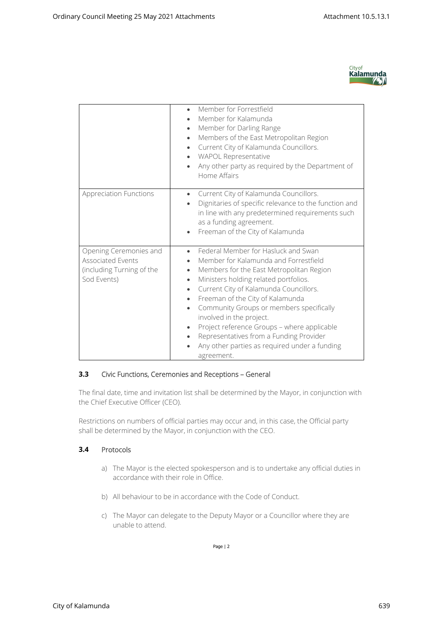

|                                                                                                | Member for Forrestfield<br>Member for Kalamunda<br>Member for Darling Range<br>$\bullet$<br>Members of the East Metropolitan Region<br>$\bullet$<br>Current City of Kalamunda Councillors.<br>$\bullet$<br><b>WAPOL Representative</b><br>$\bullet$<br>Any other party as required by the Department of<br>$\bullet$<br>Home Affairs                                                                                                                                                                                                              |
|------------------------------------------------------------------------------------------------|---------------------------------------------------------------------------------------------------------------------------------------------------------------------------------------------------------------------------------------------------------------------------------------------------------------------------------------------------------------------------------------------------------------------------------------------------------------------------------------------------------------------------------------------------|
| Appreciation Functions                                                                         | Current City of Kalamunda Councillors.<br>$\bullet$<br>Dignitaries of specific relevance to the function and<br>in line with any predetermined requirements such<br>as a funding agreement.<br>Freeman of the City of Kalamunda                                                                                                                                                                                                                                                                                                                   |
| Opening Ceremonies and<br><b>Associated Events</b><br>(including Turning of the<br>Sod Events) | Federal Member for Hasluck and Swan<br>Member for Kalamunda and Forrestfield<br>Members for the East Metropolitan Region<br>$\bullet$<br>Ministers holding related portfolios.<br>$\bullet$<br>Current City of Kalamunda Councillors.<br>$\bullet$<br>Freeman of the City of Kalamunda<br>$\bullet$<br>Community Groups or members specifically<br>$\bullet$<br>involved in the project.<br>Project reference Groups - where applicable<br>Representatives from a Funding Provider<br>Any other parties as required under a funding<br>agreement. |

## **3.3 Civic Functions, Ceremonies and Receptions – General**

The final date, time and invitation list shall be determined by the Mayor, in conjunction with the Chief Executive Officer (CEO).

Restrictions on numbers of official parties may occur and, in this case, the Official party shall be determined by the Mayor, in conjunction with the CEO.

## **3.4 Protocols**

- a) The Mayor is the elected spokesperson and is to undertake any official duties in accordance with their role in Office.
- b) All behaviour to be in accordance with the Code of Conduct.
- c) The Mayor can delegate to the Deputy Mayor or a Councillor where they are unable to attend.

Page | 2